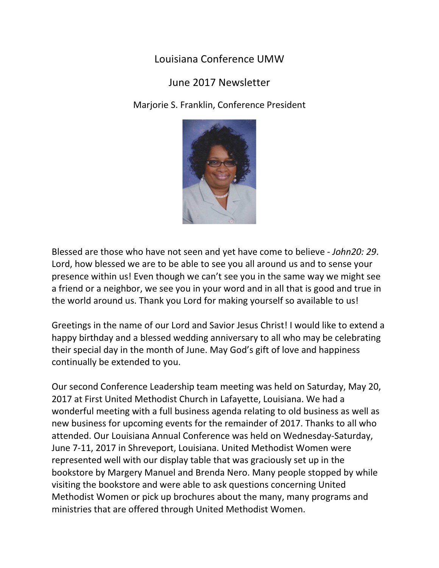## Louisiana Conference UMW

## June 2017 Newsletter

Marjorie S. Franklin, Conference President



Blessed are those who have not seen and yet have come to believe - John20: 29. Lord, how blessed we are to be able to see you all around us and to sense your presence within us! Even though we can't see you in the same way we might see a friend or a neighbor, we see you in your word and in all that is good and true in the world around us. Thank you Lord for making yourself so available to us!

Greetings in the name of our Lord and Savior Jesus Christ! I would like to extend a happy birthday and a blessed wedding anniversary to all who may be celebrating their special day in the month of June. May God's gift of love and happiness continually be extended to you.

Our second Conference Leadership team meeting was held on Saturday, May 20, 2017 at First United Methodist Church in Lafayette, Louisiana. We had a wonderful meeting with a full business agenda relating to old business as well as new business for upcoming events for the remainder of 2017. Thanks to all who attended. Our Louisiana Annual Conference was held on Wednesday-Saturday, June 7-11, 2017 in Shreveport, Louisiana. United Methodist Women were represented well with our display table that was graciously set up in the bookstore by Margery Manuel and Brenda Nero. Many people stopped by while visiting the bookstore and were able to ask questions concerning United Methodist Women or pick up brochures about the many, many programs and ministries that are offered through United Methodist Women.